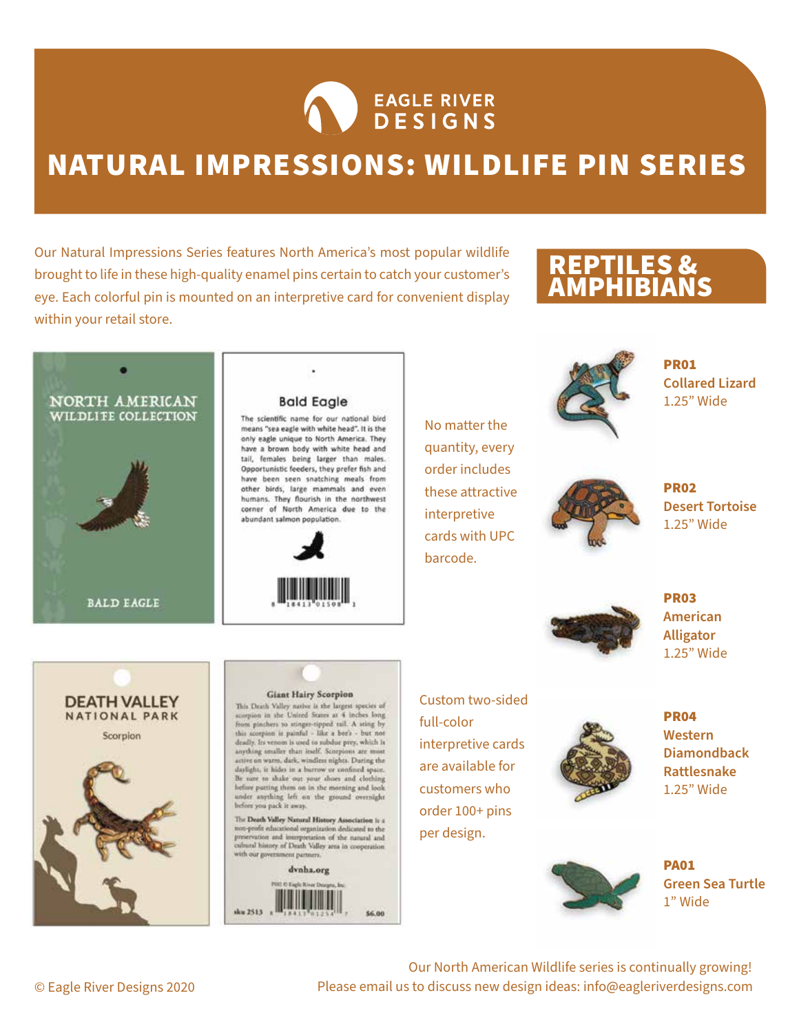

## NATURAL IMPRESSIONS: WILDLIFE PIN SERIES

Our Natural Impressions Series features North America's most popular wildlife brought to life in these high-quality enamel pins certain to catch your customer's eye. Each colorful pin is mounted on an interpretive card for convenient display within your retail store.

#### REPTILES & AMPHIBIANS



#### **Bald Eagle**

The scientific name for our national bird means "sea eagle with white head". It is the only eagle unique to North America. They have a brown body with white head and tail, females being larger than males. Opportunistic feeders, they prefer fish and have been seen snatching meals from other birds, large mammals and even humans. They flourish in the northwest corner of North America due to the abundant salmon population.



No matter the quantity, every order includes these attractive interpretive cards with UPC barcode.



PR01 **Collared Lizard** 1.25" Wide



PR02 **Desert Tortoise** 1.25" Wide



PR03 **American Alligator** 1.25" Wide



#### **Giant Hairy Scorpion**

This Death Valley native is the largest species of scorpion in the United States at 4 inches long<br>from pinchers to stinger-tipped tail. A sting by this scorpion is painful - like a bee's - but not deadly. Its venom is used to subdue prey, which is<br>anything smaller than itself. Scorpions are most etive on warm, dark, windless nights. During the daylight, it hides in a burrow or confined space.<br>Be sure to shake out your shoes and clothing before patting them on in the morning and look under anything left on the ground overnight before you pack it away.

The Death Valley Natural History Association is a  $\,$  non-profit educational organization dedicated to the preservation and interpretation of the natural and cultural history of Death Valley area in cooperation with our govern nt partners



Custom two-sided full-color interpretive cards are available for customers who order 100+ pins per design.



PR04 **Western Diamondback Rattlesnake** 1.25" Wide



PA01 **Green Sea Turtle** 1" Wide

Our North American Wildlife series is continually growing! Please email us to discuss new design ideas: info@eagleriverdesigns.com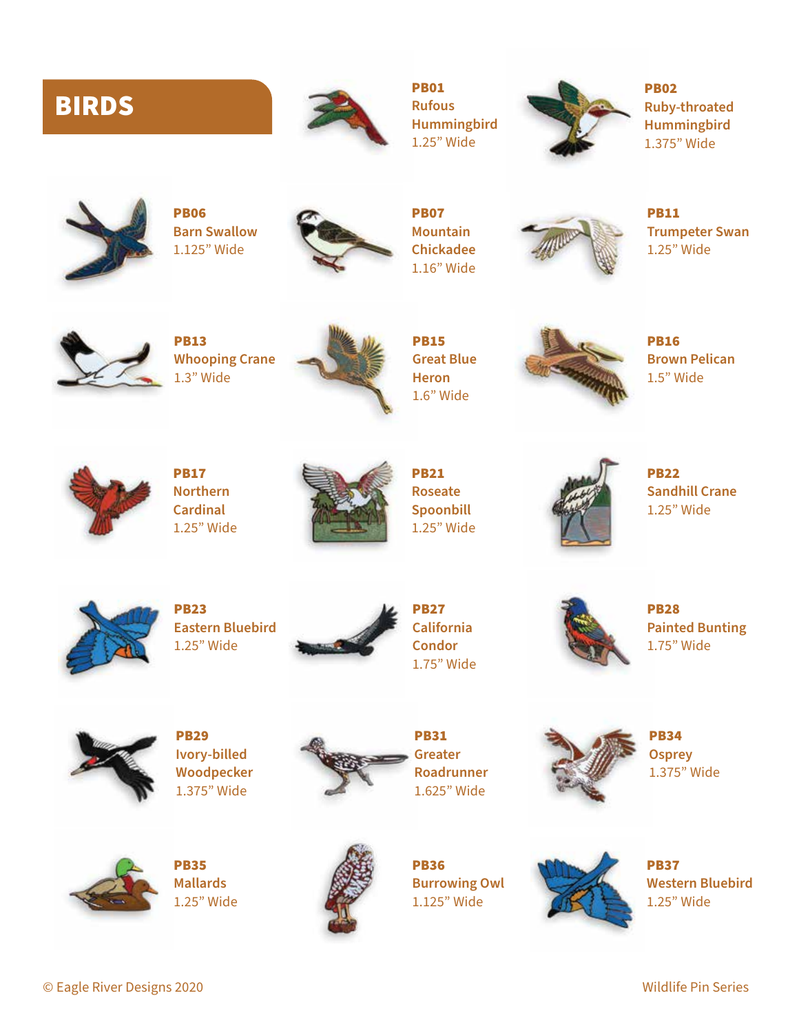## BIRDS



PB01 **Rufous Hummingbird** 1.25" Wide



PB02 **Ruby-throated Hummingbird** 1.375" Wide



PB06 **Barn Swallow** 1.125" Wide



PB07 **Mountain Chickadee** 1.16" Wide



PB11 **Trumpeter Swan** 1.25" Wide



PB13 **Whooping Crane** 1.3" Wide



PB15 **Great Blue Heron** 1.6" Wide



PB16 **Brown Pelican** 1.5" Wide



PB17 **Northern Cardinal** 1.25" Wide



PB21 **Roseate Spoonbill** 1.25" Wide



PB22 **Sandhill Crane** 1.25" Wide



PB23 **Eastern Bluebird** 1.25" Wide



PB27 **California Condor** 1.75" Wide



PB28 **Painted Bunting** 1.75" Wide



PB29 **Ivory-billed Woodpecker** 1.375" Wide



PB31 **Greater Roadrunner** 1.625" Wide



PB34 **Osprey** 1.375" Wide



PB35 **Mallards** 1.25" Wide



PB36 **Burrowing Owl** 1.125" Wide



PB37 **Western Bluebird** 1.25" Wide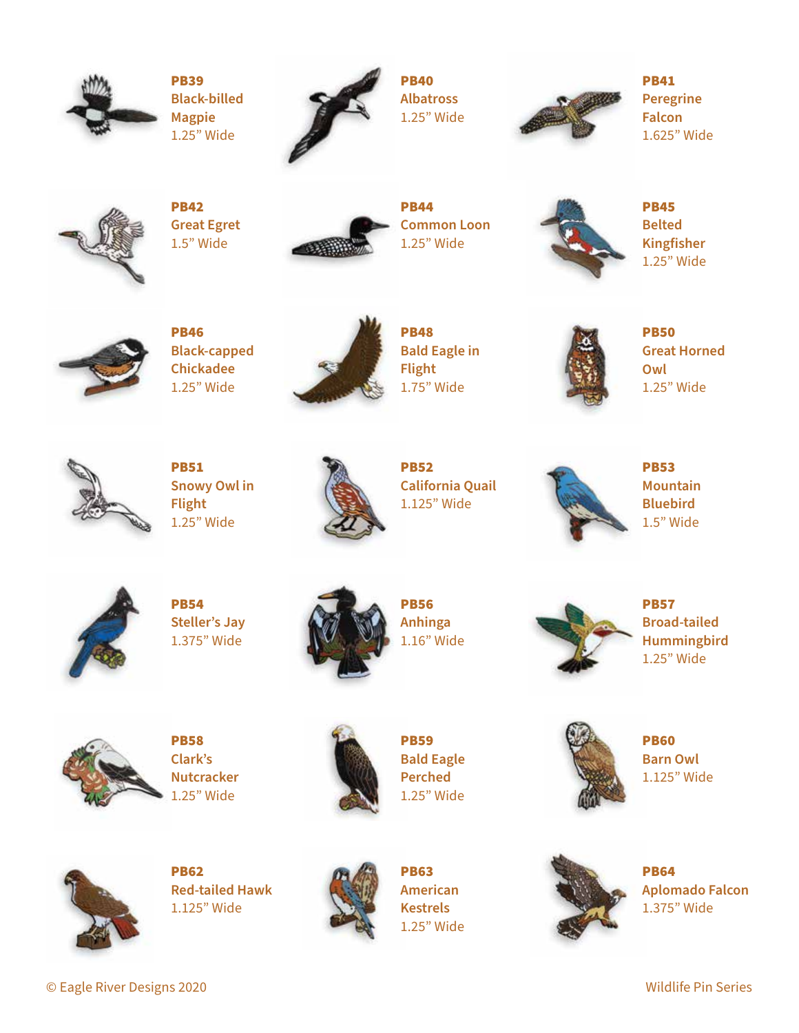

PB39 **Black-billed Magpie** 1.25" Wide



PB40 **Albatross** 1.25" Wide



PB41 **Peregrine Falcon** 1.625" Wide



PB42 **Great Egret** 1.5" Wide



PB44 **Common Loon** 1.25" Wide



PB45 **Belted Kingfisher** 1.25" Wide



PB46 **Black-capped Chickadee** 1.25" Wide



PB48 **Bald Eagle in Flight** 1.75" Wide



PB50 **Great Horned Owl** 1.25" Wide



PB51 **Snowy Owl in Flight** 1.25" Wide



PB52 **California Quail** 1.125" Wide

PB53 **Mountain Bluebird** 1.5" Wide



PB54 **Steller's Jay** 1.375" Wide



PB56 **Anhinga** 1.16" Wide



PB57 **Broad-tailed Hummingbird** 1.25" Wide



PB58 **Clark's Nutcracker** 1.25" Wide



PB59 **Bald Eagle Perched** 1.25" Wide



PB63 **American Kestrels** 1.25" Wide

PB60 **Barn Owl** 1.125" Wide



PB64 **Aplomado Falcon** 1.375" Wide



PB62 **Red-tailed Hawk** 1.125" Wide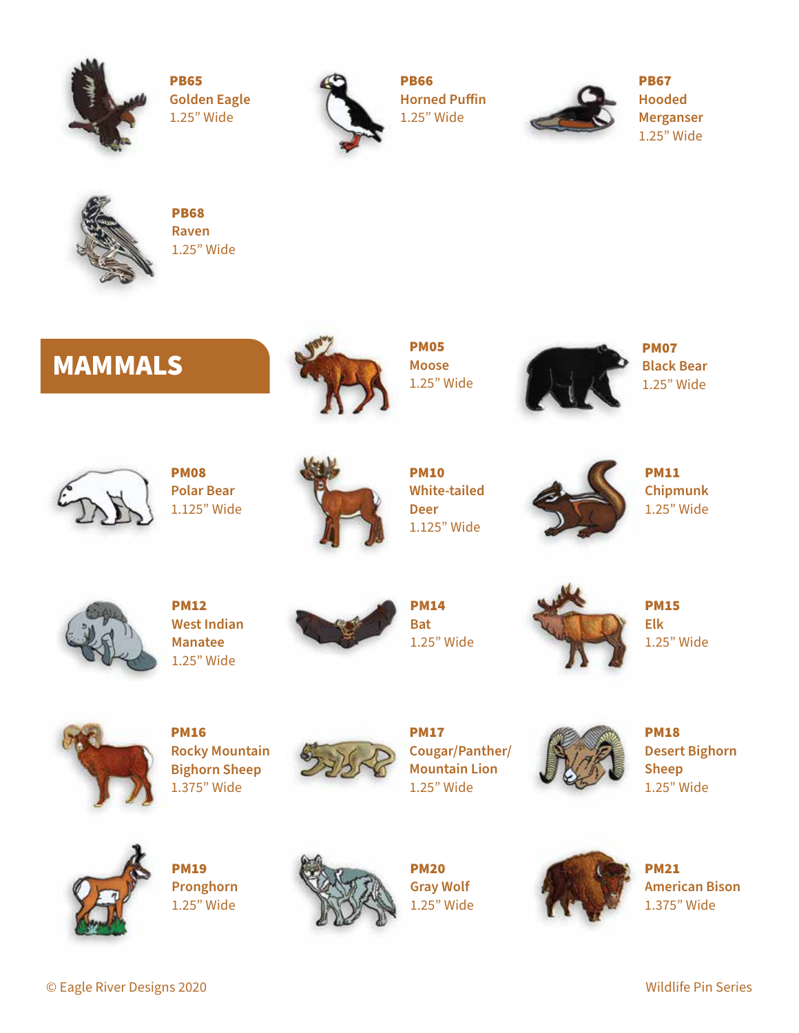

PB65 **Golden Eagle** 1.25" Wide



PB66 **Horned Puffin** 1.25" Wide



PB67 **Hooded Merganser** 1.25" Wide



PB68 **Raven** 1.25" Wide

# MAMMALS



PM05 **Moose** 1.25" Wide



PM07 **Black Bear** 1.25" Wide



PM08 **Polar Bear** 1.125" Wide



PM10 **White-tailed Deer** 1.125" Wide



PM11 **Chipmunk** 1.25" Wide



PM12 **West Indian Manatee** 1.25" Wide



PM14 **Bat** 1.25" Wide



PM15 **Elk** 1.25" Wide



PM16 **Rocky Mountain Bighorn Sheep** 1.375" Wide



PM17 **Cougar/Panther/ Mountain Lion** 1.25" Wide



PM18 **Desert Bighorn Sheep** 1.25" Wide



PM19 **Pronghorn** 1.25" Wide



PM20 **Gray Wolf** 1.25" Wide



PM21 **American Bison** 1.375" Wide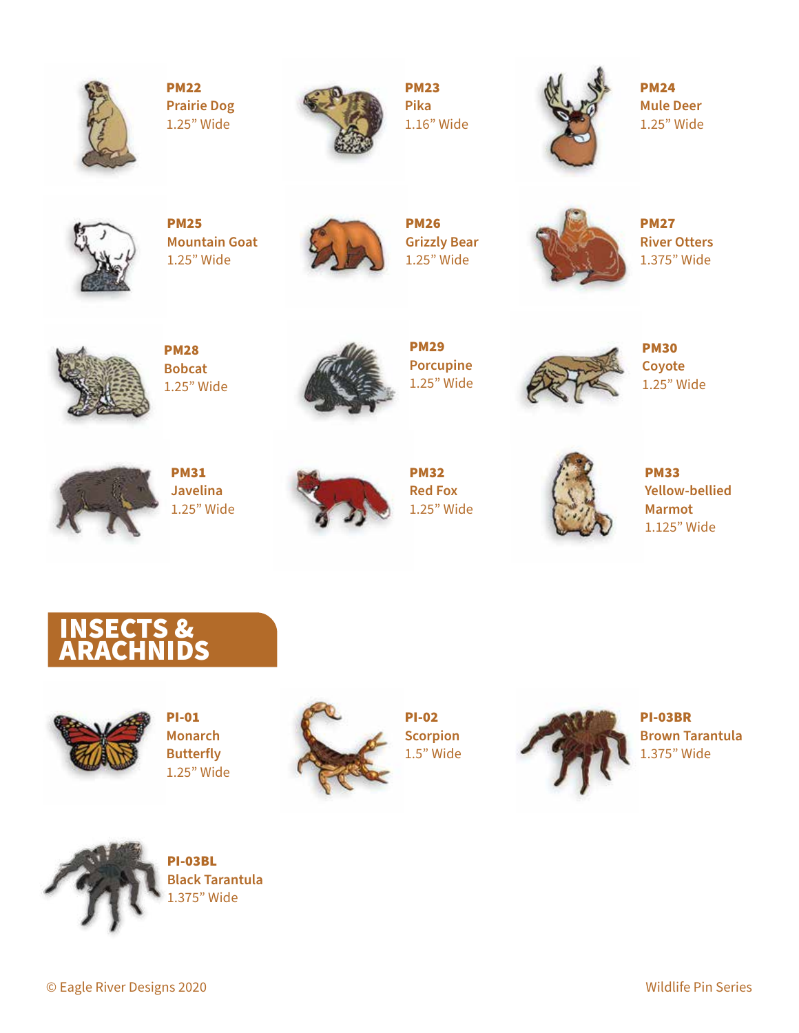

PM22 **Prairie Dog** 1.25" Wide



PM23 **Pika** 1.16" Wide



PM24 **Mule Deer** 1.25" Wide



PM25 **Mountain Goat** 1.25" Wide



PM26 **Grizzly Bear** 1.25" Wide



PM27 **River Otters** 1.375" Wide



PM28 **Bobcat** 1.25" Wide



PM29 **Porcupine** 1.25" Wide



PM30 **Coyote** 1.25" Wide



PM31 **Javelina** 1.25" Wide



PM32 **Red Fox** 1.25" Wide



PM33 **Yellow-bellied Marmot** 1.125" Wide

#### INSECTS & ARACHNIDS



PI-01 **Monarch Butterfly** 1.25" Wide



PI-02 **Scorpion** 1.5" Wide



PI-03BR **Brown Tarantula** 1.375" Wide



PI-03BL **Black Tarantula** 1.375" Wide